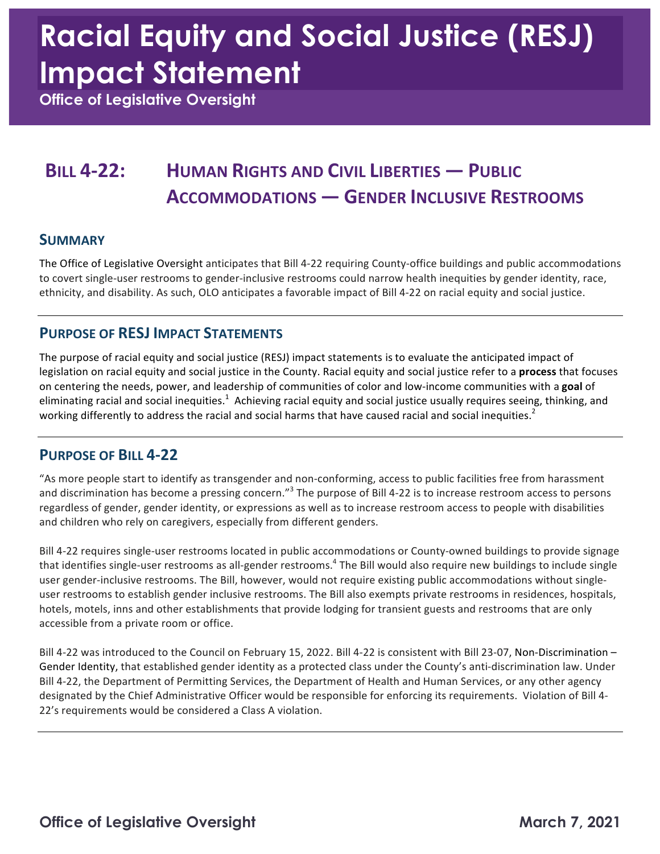# **Racial Equity and Social Justice (RESJ) Impact Statement**

 **Office of Legislative Oversight** 

# **BILL 4-22: HUMAN RIGHTS AND CIVIL LIBERTIES — PUBLIC ACCOMMODATIONS — GENDER INCLUSIVE RESTROOMS**

#### **SUMMARY**

The Office of Legislative Oversight anticipates that Bill 4-22 requiring County-office buildings and public accommodations to covert single-user restrooms to gender-inclusive restrooms could narrow health inequities by gender identity, race, ethnicity, and disability. As such, OLO anticipates a favorable impact of Bill 4-22 on racial equity and social justice.

### **PURPOSE OF RESJ IMPACT STATEMENTS**

The purpose of racial equity and social justice (RESJ) impact statements is to evaluate the anticipated impact of legislation on racial equity and social justice in the County. Racial equity and social justice refer to a **process** that focuses on centering the needs, power, and leadership of communities of color and low-income communities with a goal of eliminating racial and social inequities.<sup>1</sup> Achieving racial equity and social justice usually requires seeing, thinking, and working differently to address the racial and social harms that have caused racial and social inequities.<sup>2</sup>

### **PURPOSE OF BILL 4-22**

"As more people start to identify as transgender and non-conforming, access to public facilities free from harassment and discrimination has become a pressing concern."<sup>3</sup> The purpose of Bill 4-22 is to increase restroom access to persons regardless of gender, gender identity, or expressions as well as to increase restroom access to people with disabilities and children who rely on caregivers, especially from different genders.

Bill 4-22 requires single-user restrooms located in public accommodations or County-owned buildings to provide signage that identifies single-user restrooms as all-gender restrooms.<sup>4</sup> The Bill would also require new buildings to include single user gender-inclusive restrooms. The Bill, however, would not require existing public accommodations without singleuser restrooms to establish gender inclusive restrooms. The Bill also exempts private restrooms in residences, hospitals, hotels, motels, inns and other establishments that provide lodging for transient guests and restrooms that are only accessible from a private room or office.

Bill 4-22 was introduced to the Council on February 15, 2022. Bill 4-22 is consistent with Bill 23-07, Non-Discrimination – Gender Identity, that established gender identity as a protected class under the County's anti-discrimination law. Under designated by the Chief Administrative Officer would be responsible for enforcing its requirements. Violation of Bill 4-22's requirements would be considered a Class A violation. Bill 4-22, the Department of Permitting Services, the Department of Health and Human Services, or any other agency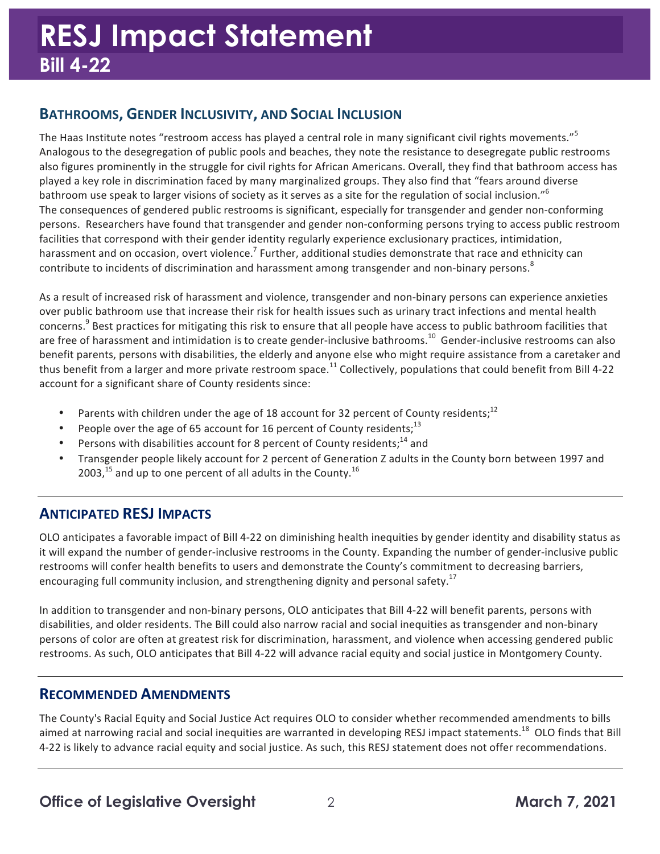# **BATHROOMS, GENDER INCLUSIVITY, AND SOCIAL INCLUSION**

The Haas Institute notes "restroom access has played a central role in many significant civil rights movements."<sup>5</sup> Analogous to the desegregation of public pools and beaches, they note the resistance to desegregate public restrooms played a key role in discrimination faced by many marginalized groups. They also find that "fears around diverse bathroom use speak to larger visions of society as it serves as a site for the regulation of social inclusion."<sup>6</sup> The consequences of gendered public restrooms is significant, especially for transgender and gender non-conforming persons. Researchers have found that transgender and gender non-conforming persons trying to access public restroom facilities that correspond with their gender identity regularly experience exclusionary practices, intimidation, harassment and on occasion, overt violence.<sup>7</sup> Further, additional studies demonstrate that race and ethnicity can contribute to incidents of discrimination and harassment among transgender and non-binary persons.<sup>8</sup> also figures prominently in the struggle for civil rights for African Americans. Overall, they find that bathroom access has

As a result of increased risk of harassment and violence, transgender and non-binary persons can experience anxieties over public bathroom use that increase their risk for health issues such as urinary tract infections and mental health concerns.<sup>9</sup> Best practices for mitigating this risk to ensure that all people have access to public bathroom facilities that are free of harassment and intimidation is to create gender-inclusive bathrooms.<sup>10</sup> Gender-inclusive restrooms can also benefit parents, persons with disabilities, the elderly and anyone else who might require assistance from a caretaker and thus benefit from a larger and more private restroom [space.](https://space.11)<sup>11</sup> Collectively, populations that could benefit from Bill 4-22 account for a significant share of County residents since:

- Parents with children under the age of 18 account for 32 percent of County residents;<sup>12</sup>
- People over the age of 65 account for 16 percent of County residents;<sup>13</sup>
- Persons with disabilities account for 8 percent of County residents;<sup>14</sup> and
- Transgender people likely account for 2 percent of Generation Z adults in the County born between 1997 and 2003,<sup>15</sup> and up to one percent of all adults in the County.<sup>16</sup>

# **ANTICIPATED RESJ IMPACTS**

OLO anticipates a favorable impact of Bill 4-22 on diminishing health inequities by gender identity and disability status as it will expand the number of gender-inclusive restrooms in the County. Expanding the number of gender-inclusive public restrooms will confer health benefits to users and demonstrate the County's commitment to decreasing barriers, encouraging full community inclusion, and strengthening dignity and personal [safety.](https://safety.17)<sup>17</sup>

In addition to transgender and non-binary persons, OLO anticipates that Bill 4-22 will benefit parents, persons with disabilities, and older residents. The Bill could also narrow racial and social inequities as transgender and non-binary persons of color are often at greatest risk for discrimination, harassment, and violence when accessing gendered public restrooms. As such, OLO anticipates that Bill 4-22 will advance racial equity and social justice in Montgomery County.

### **RECOMMENDED AMENDMENTS**

 The County's Racial Equity and Social Justice Act requires OLO to consider whether recommended amendments to bills aimed at narrowing racial and social inequities are warranted in developing RESJ impact [statements.](https://statements.18)<sup>18</sup> OLO finds that Bill 4-22 is likely to advance racial equity and social justice. As such, this RESJ statement does not offer recommendations.